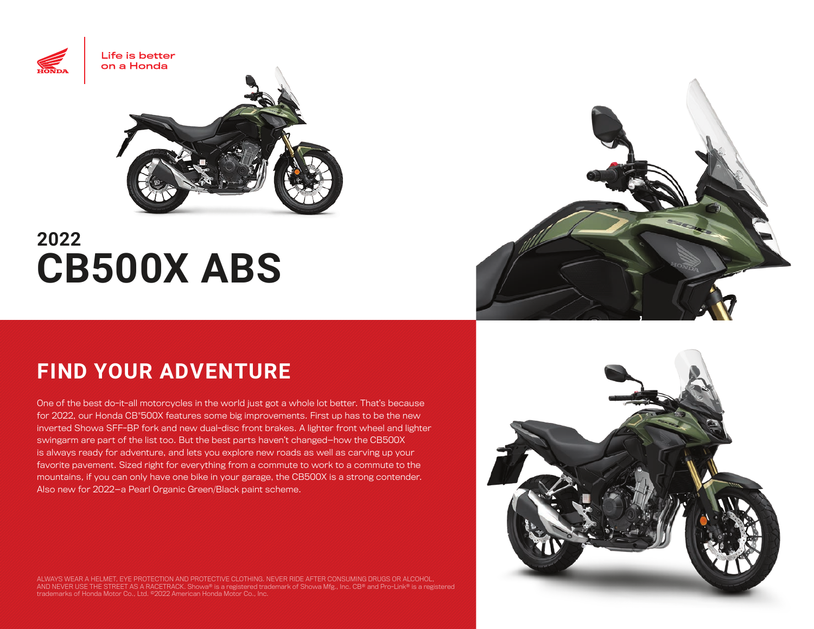

# **2022 CB500X ABS**

## **FIND YOUR ADVENTURE**

One of the best do-it-all motorcycles in the world just got a whole lot better. That's because for 2022, our Honda CB®500X features some big improvements. First up has to be the new inverted Showa SFF-BP fork and new dual-disc front brakes. A lighter front wheel and lighter swingarm are part of the list too. But the best parts haven't changed—how the CB500X is always ready for adventure, and lets you explore new roads as well as carving up your favorite pavement. Sized right for everything from a commute to work to a commute to the mountains, if you can only have one bike in your garage, the CB500X is a strong contender. Also new for 2022—a Pearl Organic Green/Black paint scheme.

ALWAYS WEAR A HELMET, EYE PROTECTION AND PROTECTIVE CLOTHING. NEVER RIDE AFTER CONSUMING DRUGS OR ALCOHOL,<br>AND NEVER USE THE STREET AS A RACETRACK. Showa® is a registered trademark of Showa Mfg., Inc. CB® and Pro-Link® is